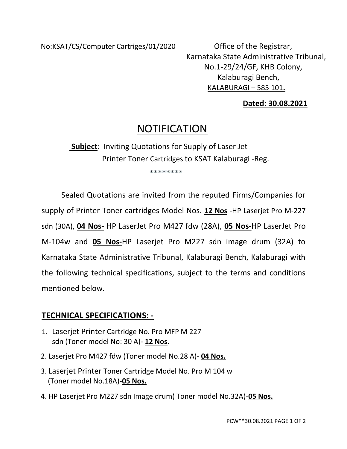No:KSAT/CS/Computer Cartriges/01/2020 Office of the Registrar,

 Karnataka State Administrative Tribunal, No.1-29/24/GF, KHB Colony, Kalaburagi Bench, KALABURAGI – 585 101.

## Dated: 30.08.2021

# **NOTIFICATION**

 Subject: Inviting Quotations for Supply of Laser Jet Printer Toner Cartridges to KSAT Kalaburagi -Reg.

\*\*\*\*\*\*\*\*

Sealed Quotations are invited from the reputed Firms/Companies for supply of Printer Toner cartridges Model Nos. 12 Nos -HP Laserjet Pro M-227 sdn (30A), 04 Nos- HP LaserJet Pro M427 fdw (28A), 05 Nos-HP LaserJet Pro M-104w and 05 Nos-HP Laserjet Pro M227 sdn image drum (32A) to Karnataka State Administrative Tribunal, Kalaburagi Bench, Kalaburagi with the following technical specifications, subject to the terms and conditions mentioned below.

# TECHNICAL SPECIFICATIONS: -

- 1. Laserjet Printer Cartridge No. Pro MFP M 227 sdn (Toner model No: 30 A)- 12 Nos.
- 2. Laserjet Pro M427 fdw (Toner model No.28 A)- 04 Nos.
- 3. Laserjet Printer Toner Cartridge Model No. Pro M 104 w (Toner model No.18A)-05 Nos.
- 4. HP Laserjet Pro M227 sdn Image drum( Toner model No.32A)-05 Nos.